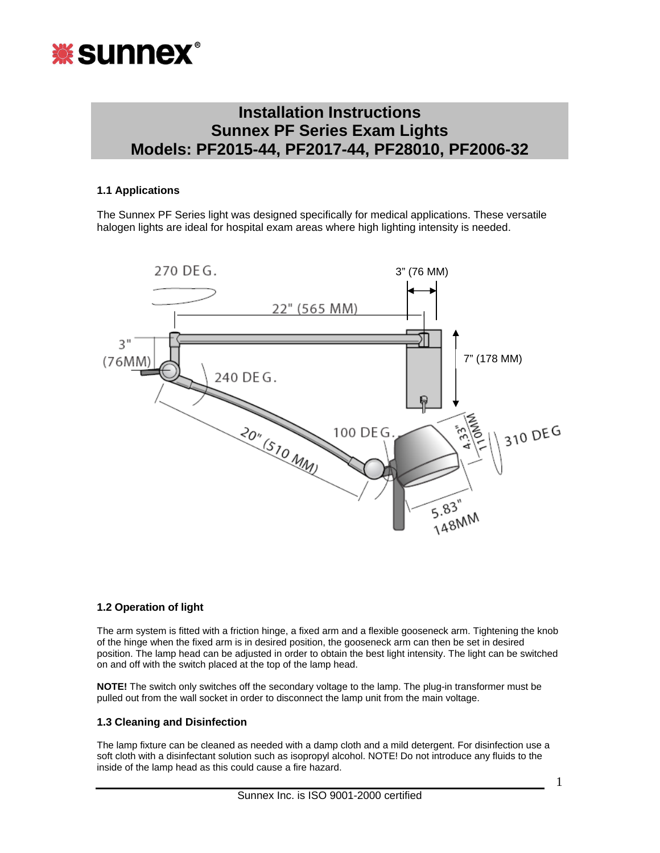

# **Installation Instructions Sunnex PF Series Exam Lights Models: PF2015-44, PF2017-44, PF28010, PF2006-32**

### **1.1 Applications**

The Sunnex PF Series light was designed specifically for medical applications. These versatile halogen lights are ideal for hospital exam areas where high lighting intensity is needed.



#### **1.2 Operation of light**

The arm system is fitted with a friction hinge, a fixed arm and a flexible gooseneck arm. Tightening the knob of the hinge when the fixed arm is in desired position, the gooseneck arm can then be set in desired position. The lamp head can be adjusted in order to obtain the best light intensity. The light can be switched on and off with the switch placed at the top of the lamp head.

**NOTE!** The switch only switches off the secondary voltage to the lamp. The plug-in transformer must be pulled out from the wall socket in order to disconnect the lamp unit from the main voltage.

#### **1.3 Cleaning and Disinfection**

The lamp fixture can be cleaned as needed with a damp cloth and a mild detergent. For disinfection use a soft cloth with a disinfectant solution such as isopropyl alcohol. NOTE! Do not introduce any fluids to the inside of the lamp head as this could cause a fire hazard.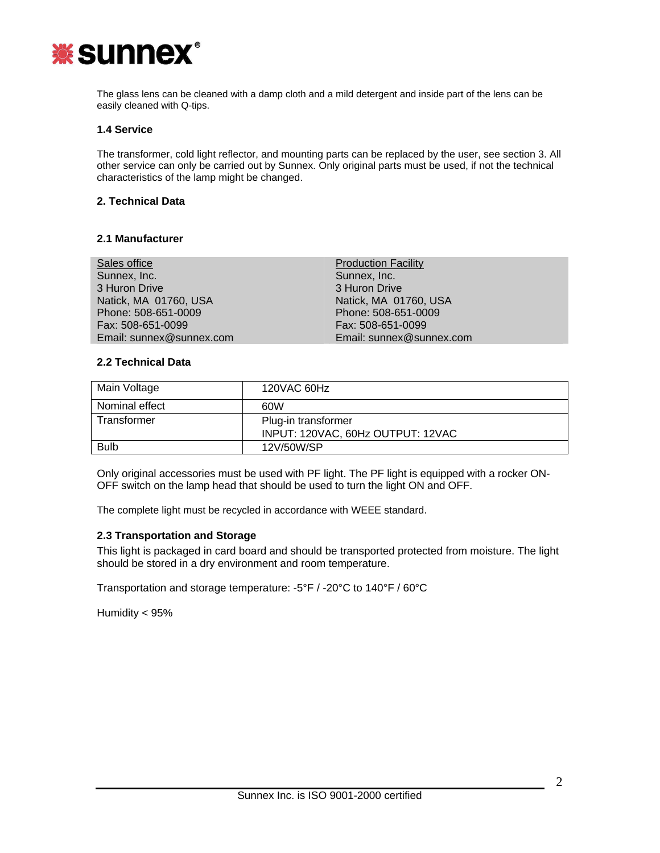

The glass lens can be cleaned with a damp cloth and a mild detergent and inside part of the lens can be easily cleaned with Q-tips.

#### **1.4 Service**

The transformer, cold light reflector, and mounting parts can be replaced by the user, see section 3. All other service can only be carried out by Sunnex. Only original parts must be used, if not the technical characteristics of the lamp might be changed.

#### **2. Technical Data**

#### **2.1 Manufacturer**

| Sales office             | <b>Production Facility</b> |  |
|--------------------------|----------------------------|--|
| Sunnex, Inc.             | Sunnex, Inc.               |  |
| 3 Huron Drive            | 3 Huron Drive              |  |
| Natick, MA 01760, USA    | Natick, MA 01760, USA      |  |
| Phone: 508-651-0009      | Phone: 508-651-0009        |  |
| Fax: 508-651-0099        | Fax: 508-651-0099          |  |
| Email: sunnex@sunnex.com | Email: sunnex@sunnex.com   |  |

#### **2.2 Technical Data**

| Main Voltage   | 120VAC 60Hz                                              |
|----------------|----------------------------------------------------------|
| Nominal effect | 60W                                                      |
| Transformer    | Plug-in transformer<br>INPUT: 120VAC, 60Hz OUTPUT: 12VAC |
| <b>Bulb</b>    | 12V/50W/SP                                               |

Only original accessories must be used with PF light. The PF light is equipped with a rocker ON-OFF switch on the lamp head that should be used to turn the light ON and OFF.

The complete light must be recycled in accordance with WEEE standard.

#### **2.3 Transportation and Storage**

This light is packaged in card board and should be transported protected from moisture. The light should be stored in a dry environment and room temperature.

Transportation and storage temperature: -5°F / -20°C to 140°F / 60°C

Humidity < 95%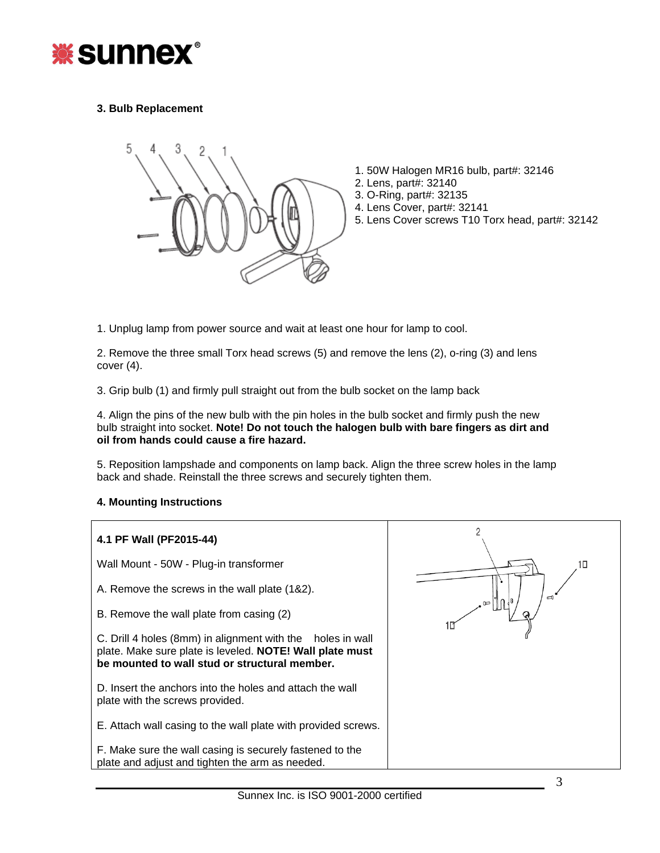

# **3. Bulb Replacement**



- 1. 50W Halogen MR16 bulb, part#: 32146
- 2. Lens, part#: 32140
- 3. O-Ring, part#: 32135
- 4. Lens Cover, part#: 32141
- 5. Lens Cover screws T10 Torx head, part#: 32142

1. Unplug lamp from power source and wait at least one hour for lamp to cool.

2. Remove the three small Torx head screws (5) and remove the lens (2), o-ring (3) and lens cover (4).

3. Grip bulb (1) and firmly pull straight out from the bulb socket on the lamp back

4. Align the pins of the new bulb with the pin holes in the bulb socket and firmly push the new bulb straight into socket. **Note! Do not touch the halogen bulb with bare fingers as dirt and oil from hands could cause a fire hazard.**

5. Reposition lampshade and components on lamp back. Align the three screw holes in the lamp back and shade. Reinstall the three screws and securely tighten them.

#### **4. Mounting Instructions**

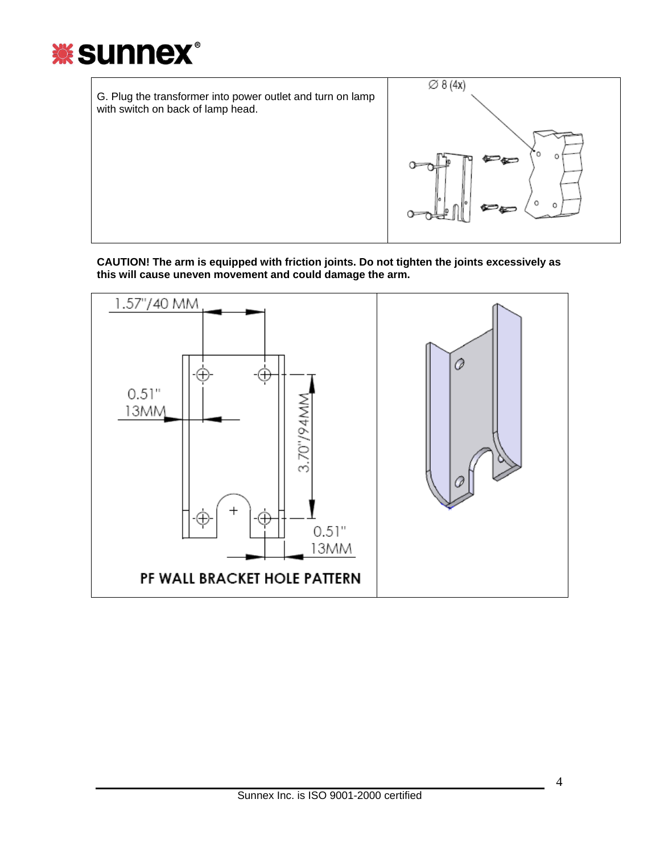



**CAUTION! The arm is equipped with friction joints. Do not tighten the joints excessively as this will cause uneven movement and could damage the arm.** 

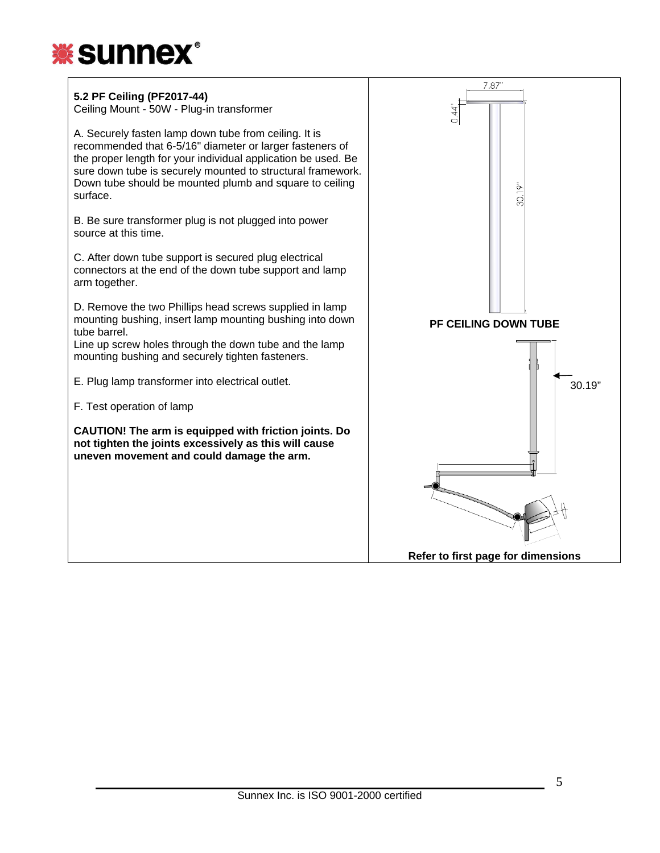

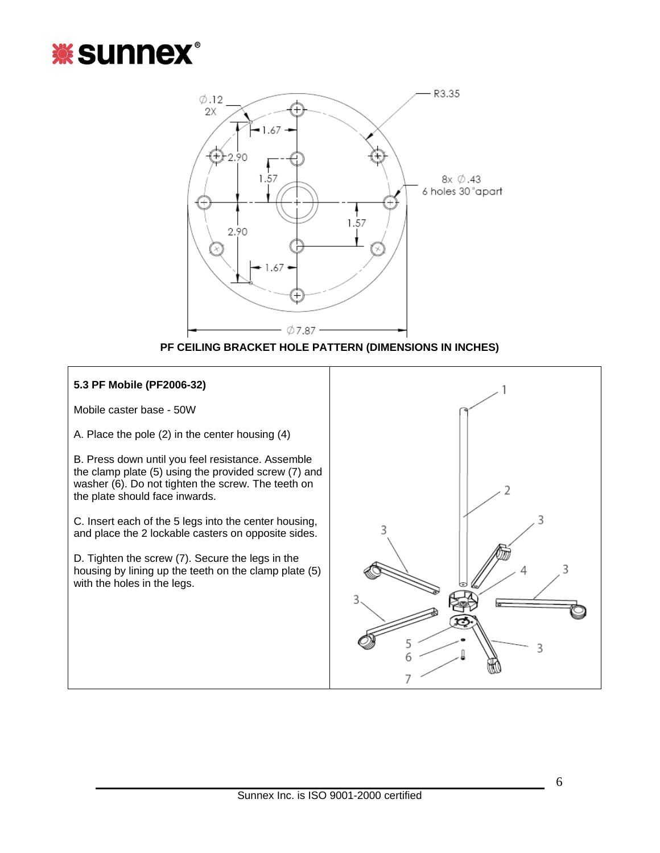





## **5.3 PF Mobile (PF2006-32)**

Mobile caster base - 50W

A. Place the pole (2) in the center housing (4)

B. Press down until you feel resistance. Assemble the clamp plate (5) using the provided screw (7) and washer (6). Do not tighten the screw. The teeth on the plate should face inwards.

C. Insert each of the 5 legs into the center housing, and place the 2 lockable casters on opposite sides.

D. Tighten the screw (7). Secure the legs in the housing by lining up the teeth on the clamp plate (5) with the holes in the legs.

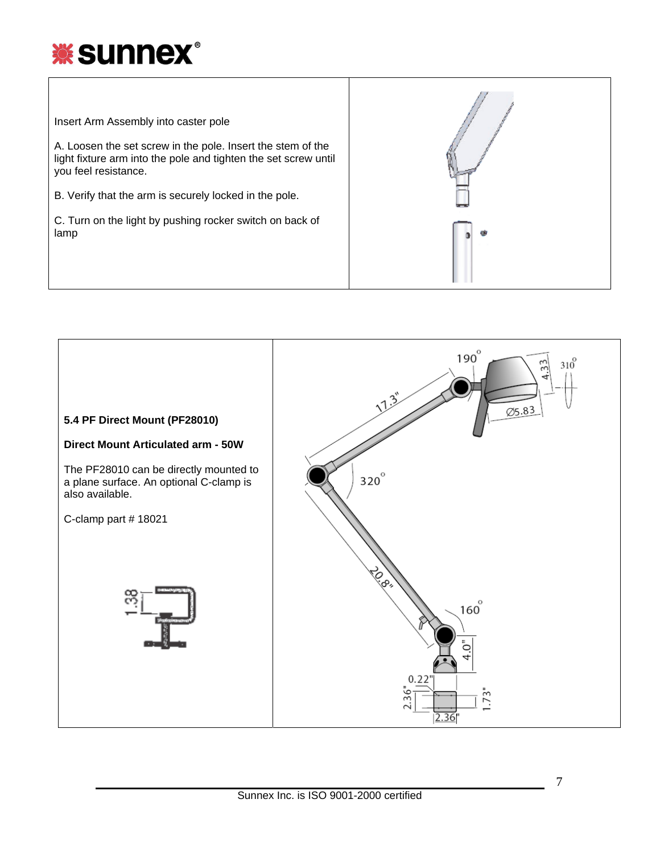

Insert Arm Assembly into caster pole

A. Loosen the set screw in the pole. Insert the stem of the light fixture arm into the pole and tighten the set screw until you feel resistance.

B. Verify that the arm is securely locked in the pole.

C. Turn on the light by pushing rocker switch on back of lamp